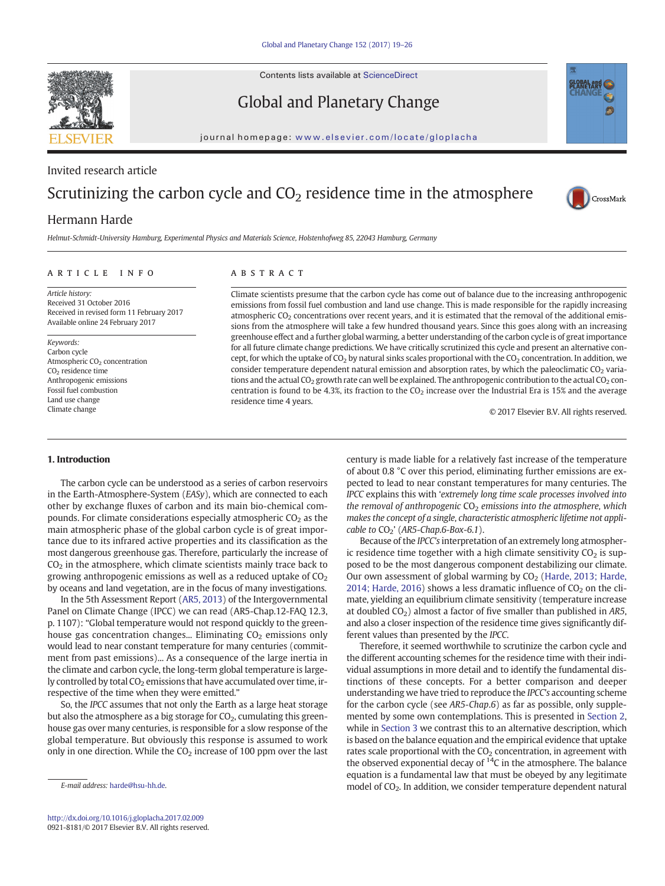Contents lists available at ScienceDirect



Global and Planetary Change

journal homepage: <www.elsevier.com/locate/gloplacha>

# Invited research article

# Scrutinizing the carbon cycle and  $CO<sub>2</sub>$  residence time in the atmosphere

## Hermann Harde

Helmut-Schmidt-University Hamburg, Experimental Physics and Materials Science, Holstenhofweg 85, 22043 Hamburg, Germany

### article info abstract

Article history: Received 31 October 2016 Received in revised form 11 February 2017 Available online 24 February 2017

Keywords: Carbon cycle Atmospheric CO<sub>2</sub> concentration CO2 residence time Anthropogenic emissions Fossil fuel combustion Land use change Climate change

Climate scientists presume that the carbon cycle has come out of balance due to the increasing anthropogenic emissions from fossil fuel combustion and land use change. This is made responsible for the rapidly increasing atmospheric CO<sub>2</sub> concentrations over recent years, and it is estimated that the removal of the additional emissions from the atmosphere will take a few hundred thousand years. Since this goes along with an increasing greenhouse effect and a further global warming, a better understanding of the carbon cycle is of great importance for all future climate change predictions. We have critically scrutinized this cycle and present an alternative concept, for which the uptake of  $CO<sub>2</sub>$  by natural sinks scales proportional with the  $CO<sub>2</sub>$  concentration. In addition, we consider temperature dependent natural emission and absorption rates, by which the paleoclimatic  $CO<sub>2</sub>$  variations and the actual  $CO_2$  growth rate can well be explained. The anthropogenic contribution to the actual  $CO_2$  concentration is found to be 4.3%, its fraction to the  $CO<sub>2</sub>$  increase over the Industrial Era is 15% and the average residence time 4 years.

© 2017 Elsevier B.V. All rights reserved.

CrossMark

#### 1. Introduction

The carbon cycle can be understood as a series of carbon reservoirs in the Earth-Atmosphere-System (EASy), which are connected to each other by exchange fluxes of carbon and its main bio-chemical compounds. For climate considerations especially atmospheric  $CO<sub>2</sub>$  as the main atmospheric phase of the global carbon cycle is of great importance due to its infrared active properties and its classification as the most dangerous greenhouse gas. Therefore, particularly the increase of  $CO<sub>2</sub>$  in the atmosphere, which climate scientists mainly trace back to growing anthropogenic emissions as well as a reduced uptake of  $CO<sub>2</sub>$ by oceans and land vegetation, are in the focus of many investigations.

In the 5th Assessment Report [\(AR5, 2013](#page-6-0)) of the Intergovernmental Panel on Climate Change (IPCC) we can read (AR5-Chap.12-FAQ 12.3, p. 1107): "Global temperature would not respond quickly to the greenhouse gas concentration changes... Eliminating  $CO<sub>2</sub>$  emissions only would lead to near constant temperature for many centuries (commitment from past emissions)... As a consequence of the large inertia in the climate and carbon cycle, the long-term global temperature is largely controlled by total  $CO<sub>2</sub>$  emissions that have accumulated over time, irrespective of the time when they were emitted."

So, the IPCC assumes that not only the Earth as a large heat storage but also the atmosphere as a big storage for  $CO<sub>2</sub>$ , cumulating this greenhouse gas over many centuries, is responsible for a slow response of the global temperature. But obviously this response is assumed to work only in one direction. While the  $CO<sub>2</sub>$  increase of 100 ppm over the last century is made liable for a relatively fast increase of the temperature of about 0.8 °C over this period, eliminating further emissions are expected to lead to near constant temperatures for many centuries. The IPCC explains this with 'extremely long time scale processes involved into the removal of anthropogenic  $CO<sub>2</sub>$  emissions into the atmosphere, which makes the concept of a single, characteristic atmospheric lifetime not applicable to  $CO_2$ ' (AR5-Chap.6-Box-6.1).

Because of the IPCC's interpretation of an extremely long atmospheric residence time together with a high climate sensitivity  $CO<sub>2</sub>$  is supposed to be the most dangerous component destabilizing our climate. Our own assessment of global warming by  $CO<sub>2</sub>$  [\(Harde, 2013; Harde,](#page-7-0) [2014; Harde, 2016](#page-7-0)) shows a less dramatic influence of  $CO<sub>2</sub>$  on the climate, yielding an equilibrium climate sensitivity (temperature increase at doubled  $CO<sub>2</sub>$ ) almost a factor of five smaller than published in AR5, and also a closer inspection of the residence time gives significantly different values than presented by the IPCC.

Therefore, it seemed worthwhile to scrutinize the carbon cycle and the different accounting schemes for the residence time with their individual assumptions in more detail and to identify the fundamental distinctions of these concepts. For a better comparison and deeper understanding we have tried to reproduce the IPCC's accounting scheme for the carbon cycle (see AR5-Chap.6) as far as possible, only supplemented by some own contemplations. This is presented in [Section 2,](#page-1-0) while in [Section 3](#page-3-0) we contrast this to an alternative description, which is based on the balance equation and the empirical evidence that uptake rates scale proportional with the  $CO<sub>2</sub>$  concentration, in agreement with the observed exponential decay of  $14C$  in the atmosphere. The balance equation is a fundamental law that must be obeyed by any legitimate model of CO<sub>2</sub>. In addition, we consider temperature dependent natural

E-mail address: [harde@hsu-hh.de.](mailto:harde@hsu-hh.de)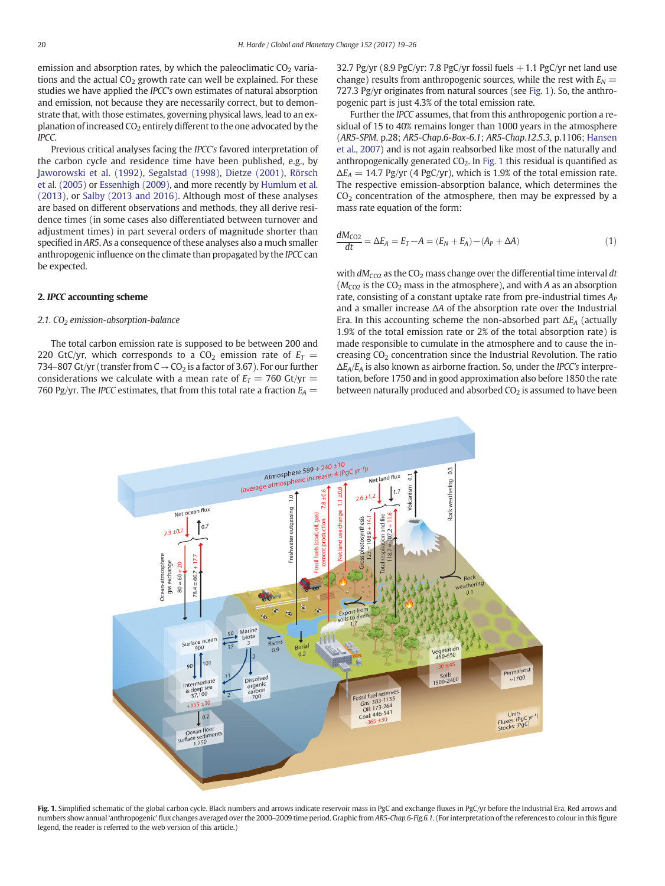<span id="page-1-0"></span>emission and absorption rates, by which the paleoclimatic  $CO<sub>2</sub>$  variations and the actual  $CO<sub>2</sub>$  growth rate can well be explained. For these studies we have applied the IPCC's own estimates of natural absorption and emission, not because they are necessarily correct, but to demonstrate that, with those estimates, governing physical laws, lead to an explanation of increased  $CO<sub>2</sub>$  entirely different to the one advocated by the IPCC.

Previous critical analyses facing the IPCC's favored interpretation of the carbon cycle and residence time have been published, e.g., by [Jaworowski et al. \(1992\)](#page-7-0), [Segalstad \(1998\),](#page-7-0) [Dietze \(2001\),](#page-7-0) [Rörsch](#page-7-0) [et al. \(2005\)](#page-7-0) or [Essenhigh \(2009\),](#page-7-0) and more recently by [Humlum et al.](#page-7-0) [\(2013\)](#page-7-0), or [Salby \(2013 and 2016\).](#page-7-0) Although most of these analyses are based on different observations and methods, they all derive residence times (in some cases also differentiated between turnover and adjustment times) in part several orders of magnitude shorter than specified in AR5. As a consequence of these analyses also a much smaller anthropogenic influence on the climate than propagated by the IPCC can be expected.

#### 2. IPCC accounting scheme

#### 2.1. CO<sub>2</sub> emission-absorption-balance

The total carbon emission rate is supposed to be between 200 and 220 GtC/yr, which corresponds to a  $CO<sub>2</sub>$  emission rate of  $E_T =$ 734–807 Gt/yr (transfer from  $C \rightarrow CO_2$  is a factor of 3.67). For our further considerations we calculate with a mean rate of  $E_T = 760 \text{ Gt/yr} =$ 760 Pg/yr. The IPCC estimates, that from this total rate a fraction  $E_A =$  32.7 Pg/yr (8.9 PgC/yr: 7.8 PgC/yr fossil fuels  $+1.1$  PgC/yr net land use change) results from anthropogenic sources, while the rest with  $E_N =$ 727.3 Pg/yr originates from natural sources (see Fig. 1). So, the anthropogenic part is just 4.3% of the total emission rate.

Further the IPCC assumes, that from this anthropogenic portion a residual of 15 to 40% remains longer than 1000 years in the atmosphere (AR5-SPM, p.28; AR5-Chap.6-Box-6.1; AR5-Chap.12.5.3, p.1106; [Hansen](#page-7-0) [et al., 2007\)](#page-7-0) and is not again reabsorbed like most of the naturally and anthropogenically generated  $CO<sub>2</sub>$ . In Fig. 1 this residual is quantified as  $\Delta E_A = 14.7 \text{ pg/yr}$  (4 PgC/yr), which is 1.9% of the total emission rate. The respective emission-absorption balance, which determines the  $CO<sub>2</sub>$  concentration of the atmosphere, then may be expressed by a mass rate equation of the form:

$$
\frac{dM_{\text{CO2}}}{dt} = \Delta E_A = E_T - A = (E_N + E_A) - (A_P + \Delta A) \tag{1}
$$

with  $dM_{CO2}$  as the CO<sub>2</sub> mass change over the differential time interval dt  $(M_{CO2}$  is the CO<sub>2</sub> mass in the atmosphere), and with A as an absorption rate, consisting of a constant uptake rate from pre-industrial times  $A_P$ and a smaller increase ΔA of the absorption rate over the Industrial Era. In this accounting scheme the non-absorbed part  $\Delta E_A$  (actually 1.9% of the total emission rate or 2% of the total absorption rate) is made responsible to cumulate in the atmosphere and to cause the increasing  $CO<sub>2</sub>$  concentration since the Industrial Revolution. The ratio  $\Delta E_A/E_A$  is also known as airborne fraction. So, under the IPCC's interpretation, before 1750 and in good approximation also before 1850 the rate between naturally produced and absorbed  $CO<sub>2</sub>$  is assumed to have been



Fig. 1. Simplified schematic of the global carbon cycle. Black numbers and arrows indicate reservoir mass in PgC and exchange fluxes in PgC/yr before the Industrial Era. Red arrows and numbers show annual 'anthropogenic' flux changes averaged over the 2000-2009 time period. Graphic from AR5-Chap.6-Fig.6.1. (For interpretation of the references to colour in this figure legend, the reader is referred to the web version of this article.)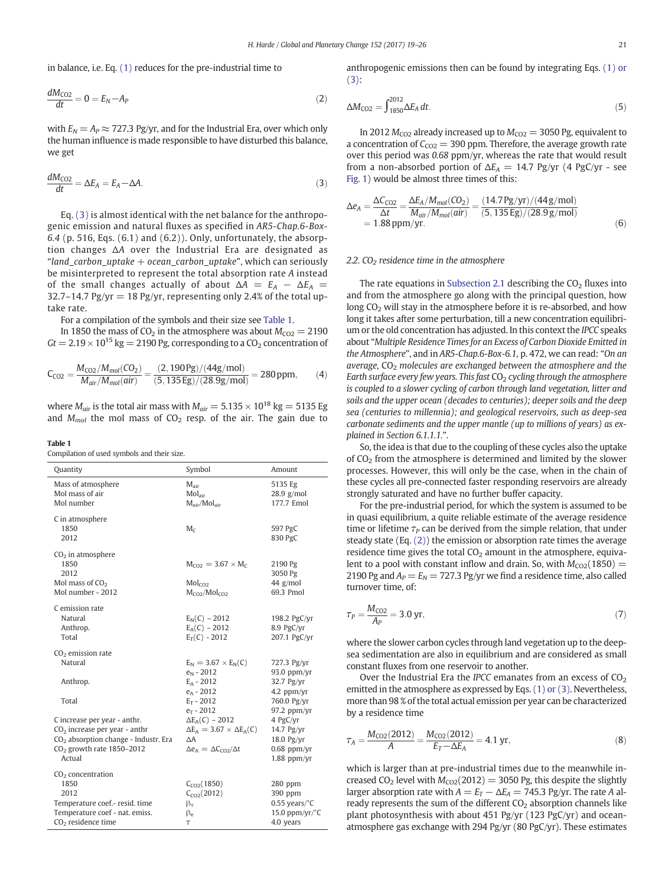<span id="page-2-0"></span>in balance, i.e. Eq. [\(1\)](#page-1-0) reduces for the pre-industrial time to

$$
\frac{dM_{\text{CO2}}}{dt} = 0 = E_N - A_P \tag{2}
$$

with  $E_N = A_P \approx 727.3 \text{ Pg/yr}$ , and for the Industrial Era, over which only the human influence is made responsible to have disturbed this balance, we get

$$
\frac{dM_{\text{CO2}}}{dt} = \Delta E_A = E_A - \Delta A. \tag{3}
$$

Eq. (3) is almost identical with the net balance for the anthropogenic emission and natural fluxes as specified in AR5-Chap.6-Box-6.4 (p. 516, Eqs. (6.1) and (6.2)). Only, unfortunately, the absorption changes ΔA over the Industrial Era are designated as "land\_carbon\_uptake  $+$  ocean\_carbon\_uptake", which can seriously be misinterpreted to represent the total absorption rate A instead of the small changes actually of about  $\Delta A = E_A - \Delta E_A$ 32.7–14.7 Pg/yr = 18 Pg/yr, representing only 2.4% of the total uptake rate.

For a compilation of the symbols and their size see Table 1.

In 1850 the mass of  $CO<sub>2</sub>$  in the atmosphere was about  $M_{CO2} = 2190$  $Gt = 2.19 \times 10^{15}$  kg = 2190 Pg, corresponding to a CO<sub>2</sub> concentration of

$$
C_{CO2} = \frac{M_{CO2}/M_{mol}(CO_2)}{M_{air}/M_{mol}(air)} = \frac{(2,190\,\text{Pg})/(44\,\text{g/mol})}{(5,135\,\text{Eg})/(28.9\,\text{g/mol})} = 280\,\text{ppm},\tag{4}
$$

where  $M_{air}$  is the total air mass with  $M_{air} = 5.135 \times 10^{18}$  kg = 5135 Eg and  $M_{mol}$  the mol mass of CO<sub>2</sub> resp. of the air. The gain due to

#### Table 1

Compilation of used symbols and their size.

| Quantity                                                                                                                                                     | Symbol                                                                                                                     | Amount                                                                         |
|--------------------------------------------------------------------------------------------------------------------------------------------------------------|----------------------------------------------------------------------------------------------------------------------------|--------------------------------------------------------------------------------|
| Mass of atmosphere<br>Mol mass of air<br>Mol number                                                                                                          | $M_{air}$<br>Mol <sub>air</sub><br>$M_{air}/Mol_{air}$                                                                     | 5135 Eg<br>$28.9$ g/mol<br>177.7 Emol                                          |
| C in atmosphere<br>1850<br>2012                                                                                                                              | $M_c$                                                                                                                      | 597 PgC<br>830 PgC                                                             |
| $CO2$ in atmosphere<br>1850<br>2012<br>Mol mass of CO <sub>2</sub><br>Mol number - 2012                                                                      | $M_{CO2} = 3.67 \times M_{C}$<br>Mol <sub>CO2</sub><br>$M_{CO2}/Mol_{CO2}$                                                 | 2190 Pg<br>3050 Pg<br>44 g/mol<br>69.3 Pmol                                    |
| C emission rate<br>Natural<br>Anthrop.<br>Total                                                                                                              | $E_N(C) - 2012$<br>$E_A(C) - 2012$<br>$E_T(C) - 2012$                                                                      | 198.2 PgC/yr<br>8.9 PgC/yr<br>207.1 PgC/yr                                     |
| CO <sub>2</sub> emission rate<br>Natural<br>Anthrop.                                                                                                         | $E_N = 3.67 \times E_N(C)$<br>$e_N - 2012$<br>$E_A - 2012$<br>$e_A - 2012$                                                 | 727.3 Pg/yr<br>$93.0$ ppm/yr<br>32.7 Pg/yr<br>4.2 ppm/yr                       |
| Total                                                                                                                                                        | $E_T - 2012$<br>$e_T - 2012$                                                                                               | 760.0 Pg/yr<br>$97.2$ ppm/yr                                                   |
| C increase per year - anthr.<br>$CO2$ increase per year - anthr<br>CO <sub>2</sub> absorption change - Industr. Era<br>$CO2$ growth rate 1850-2012<br>Actual | $\Delta E_A(C)$ – 2012<br>$\Delta E_A = 3.67 \times \Delta E_A(C)$<br>$\Delta A$<br>$\Delta e_A = \Delta C_{CO2}/\Delta t$ | 4 PgC/yr<br>14.7 Pg/yr<br>18.0 Pg/yr<br>$0.68$ ppm/yr<br>$1.88$ ppm/yr         |
| $CO2$ concentration<br>1850<br>2012<br>Temperature coef.- resid. time<br>Temperature coef - nat. emiss.<br>CO <sub>2</sub> residence time                    | $C_{CO2}(1850)$<br>$C_{C02}(2012)$<br>$\beta_{\tau}$<br>$\beta_e$<br>Τ                                                     | 280 ppm<br>390 ppm<br>$0.55$ years/ $\degree$ C<br>15.0 ppm/yr/°C<br>4.0 years |

anthropogenic emissions then can be found by integrating Eqs. [\(1\) or](#page-1-0) [\(3\):](#page-1-0)

$$
\Delta M_{\text{CO2}} = \int_{1850}^{2012} \Delta E_A \, dt. \tag{5}
$$

In 2012  $M_{CO2}$  already increased up to  $M_{CO2} = 3050$  Pg, equivalent to a concentration of  $C_{CO2}$  = 390 ppm. Therefore, the average growth rate over this period was 0.68 ppm/yr, whereas the rate that would result from a non-absorbed portion of  $\Delta E_A = 14.7$  Pg/yr (4 PgC/yr - see [Fig. 1](#page-1-0)) would be almost three times of this:

$$
\Delta e_A = \frac{\Delta C_{CO2}}{\Delta t} = \frac{\Delta E_A / M_{mol}(CO_2)}{M_{air} / M_{mol}(air)} = \frac{(14.7 \,\text{Pg/yr}) / (44 \,\text{g/mol})}{(5,135 \,\text{Eg}) / (28.9 \,\text{g/mol})}
$$
\n
$$
= 1.88 \,\text{ppm/yr}.
$$
\n(6)

#### 2.2.  $CO<sub>2</sub>$  residence time in the atmosphere

The rate equations in [Subsection 2.1](#page-1-0) describing the  $CO<sub>2</sub>$  fluxes into and from the atmosphere go along with the principal question, how long  $CO<sub>2</sub>$  will stay in the atmosphere before it is re-absorbed, and how long it takes after some perturbation, till a new concentration equilibrium or the old concentration has adjusted. In this context the IPCC speaks about "Multiple Residence Times for an Excess of Carbon Dioxide Emitted in the Atmosphere", and in AR5-Chap.6-Box-6.1, p. 472, we can read: "On an average,  $CO<sub>2</sub>$  molecules are exchanged between the atmosphere and the Earth surface every few years. This fast  $CO<sub>2</sub>$  cycling through the atmosphere is coupled to a slower cycling of carbon through land vegetation, litter and soils and the upper ocean (decades to centuries); deeper soils and the deep sea (centuries to millennia); and geological reservoirs, such as deep-sea carbonate sediments and the upper mantle (up to millions of years) as explained in Section 6.1.1.1.".

So, the idea is that due to the coupling of these cycles also the uptake of  $CO<sub>2</sub>$  from the atmosphere is determined and limited by the slower processes. However, this will only be the case, when in the chain of these cycles all pre-connected faster responding reservoirs are already strongly saturated and have no further buffer capacity.

For the pre-industrial period, for which the system is assumed to be in quasi equilibrium, a quite reliable estimate of the average residence time or lifetime  $\tau_P$  can be derived from the simple relation, that under steady state (Eq. (2)) the emission or absorption rate times the average residence time gives the total  $CO<sub>2</sub>$  amount in the atmosphere, equivalent to a pool with constant inflow and drain. So, with  $M_{CO2}(1850)$  = 2190 Pg and  $A_P = E_N = 727.3$  Pg/yr we find a residence time, also called turnover time, of:

$$
\tau_P = \frac{M_{\text{CO2}}}{A_P} = 3.0 \text{ yr},\tag{7}
$$

where the slower carbon cycles through land vegetation up to the deepsea sedimentation are also in equilibrium and are considered as small constant fluxes from one reservoir to another.

Over the Industrial Era the IPCC emanates from an excess of  $CO<sub>2</sub>$ emitted in the atmosphere as expressed by Eqs. [\(1\) or \(3\).](#page-1-0) Nevertheless, more than 98 % of the total actual emission per year can be characterized by a residence time

$$
\tau_A = \frac{M_{\text{CO2}}(2012)}{A} = \frac{M_{\text{CO2}}(2012)}{E_T - \Delta E_A} = 4.1 \text{ yr},\tag{8}
$$

which is larger than at pre-industrial times due to the meanwhile increased CO<sub>2</sub> level with  $M_{CO2}(2012) = 3050$  Pg, this despite the slightly larger absorption rate with  $A = E_T - \Delta E_A = 745.3$  Pg/yr. The rate A already represents the sum of the different  $CO<sub>2</sub>$  absorption channels like plant photosynthesis with about 451 Pg/yr (123 PgC/yr) and oceanatmosphere gas exchange with 294 Pg/yr (80 PgC/yr). These estimates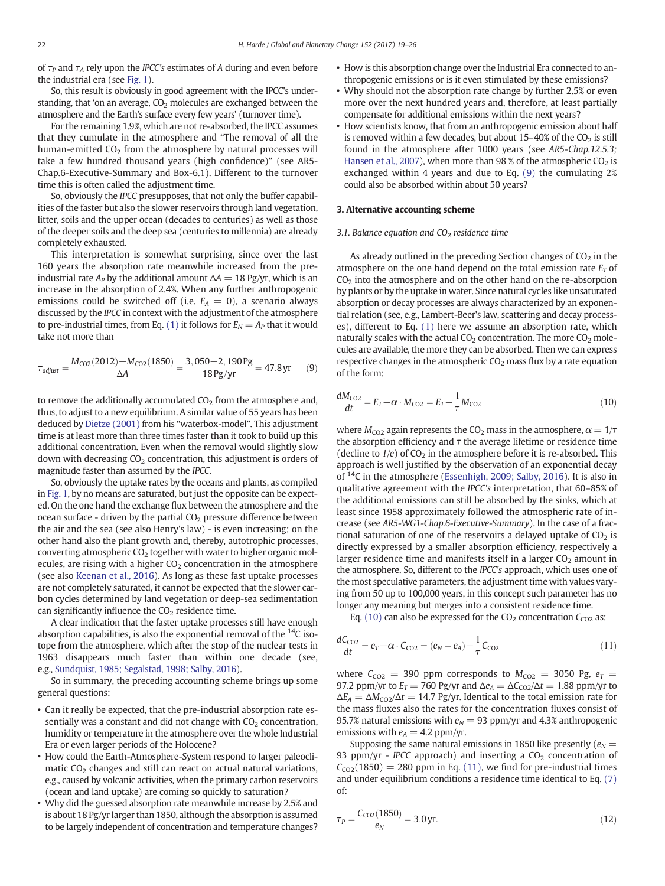<span id="page-3-0"></span>of  $\tau_P$  and  $\tau_A$  rely upon the IPCC's estimates of A during and even before the industrial era (see [Fig. 1](#page-1-0)).

So, this result is obviously in good agreement with the IPCC's understanding, that 'on an average,  $CO<sub>2</sub>$  molecules are exchanged between the atmosphere and the Earth's surface every few years' (turnover time).

For the remaining 1.9%, which are not re-absorbed, the IPCC assumes that they cumulate in the atmosphere and "The removal of all the human-emitted  $CO<sub>2</sub>$  from the atmosphere by natural processes will take a few hundred thousand years (high confidence)" (see AR5- Chap.6-Executive-Summary and Box-6.1). Different to the turnover time this is often called the adjustment time.

So, obviously the IPCC presupposes, that not only the buffer capabilities of the faster but also the slower reservoirs through land vegetation, litter, soils and the upper ocean (decades to centuries) as well as those of the deeper soils and the deep sea (centuries to millennia) are already completely exhausted.

This interpretation is somewhat surprising, since over the last 160 years the absorption rate meanwhile increased from the preindustrial rate  $A_p$  by the additional amount  $\Delta A = 18 \text{ Pg/yr}$ , which is an increase in the absorption of 2.4%. When any further anthropogenic emissions could be switched off (i.e.  $E_A = 0$ ), a scenario always discussed by the IPCC in context with the adjustment of the atmosphere to pre-industrial times, from Eq. [\(1\)](#page-1-0) it follows for  $E_N = A_P$  that it would take not more than

$$
\tau_{\text{adjust}} = \frac{M_{\text{CO2}}(2012) - M_{\text{CO2}}(1850)}{\Delta A} = \frac{3,050 - 2,190 \,\text{Pg}}{18 \,\text{Pg/yr}} = 47.8 \,\text{yr} \tag{9}
$$

to remove the additionally accumulated  $CO<sub>2</sub>$  from the atmosphere and, thus, to adjust to a new equilibrium. A similar value of 55 years has been deduced by [Dietze \(2001\)](#page-7-0) from his "waterbox-model". This adjustment time is at least more than three times faster than it took to build up this additional concentration. Even when the removal would slightly slow down with decreasing  $CO<sub>2</sub>$  concentration, this adjustment is orders of magnitude faster than assumed by the IPCC.

So, obviously the uptake rates by the oceans and plants, as compiled in [Fig. 1,](#page-1-0) by no means are saturated, but just the opposite can be expected. On the one hand the exchange flux between the atmosphere and the ocean surface - driven by the partial  $CO<sub>2</sub>$  pressure difference between the air and the sea (see also Henry's law) - is even increasing; on the other hand also the plant growth and, thereby, autotrophic processes, converting atmospheric  $CO<sub>2</sub>$  together with water to higher organic molecules, are rising with a higher  $CO<sub>2</sub>$  concentration in the atmosphere (see also [Keenan et al., 2016\)](#page-7-0). As long as these fast uptake processes are not completely saturated, it cannot be expected that the slower carbon cycles determined by land vegetation or deep-sea sedimentation can significantly influence the  $CO<sub>2</sub>$  residence time.

A clear indication that the faster uptake processes still have enough absorption capabilities, is also the exponential removal of the  $^{14}C$  isotope from the atmosphere, which after the stop of the nuclear tests in 1963 disappears much faster than within one decade (see, e.g., [Sundquist, 1985; Segalstad, 1998; Salby, 2016\)](#page-7-0).

So in summary, the preceding accounting scheme brings up some general questions:

- Can it really be expected, that the pre-industrial absorption rate essentially was a constant and did not change with  $CO<sub>2</sub>$  concentration, humidity or temperature in the atmosphere over the whole Industrial Era or even larger periods of the Holocene?
- How could the Earth-Atmosphere-System respond to larger paleoclimatic  $CO<sub>2</sub>$  changes and still can react on actual natural variations, e.g., caused by volcanic activities, when the primary carbon reservoirs (ocean and land uptake) are coming so quickly to saturation?
- Why did the guessed absorption rate meanwhile increase by 2.5% and is about 18 Pg/yr larger than 1850, although the absorption is assumed to be largely independent of concentration and temperature changes?
- How is this absorption change over the Industrial Era connected to anthropogenic emissions or is it even stimulated by these emissions?
- Why should not the absorption rate change by further 2.5% or even more over the next hundred years and, therefore, at least partially compensate for additional emissions within the next years?
- How scientists know, that from an anthropogenic emission about half is removed within a few decades, but about  $15-40\%$  of the  $CO<sub>2</sub>$  is still found in the atmosphere after 1000 years (see AR5-Chap.12.5.3; [Hansen et al., 2007\)](#page-7-0), when more than 98 % of the atmospheric  $CO<sub>2</sub>$  is exchanged within 4 years and due to Eq. (9) the cumulating 2% could also be absorbed within about 50 years?

#### 3. Alternative accounting scheme

#### 3.1. Balance equation and  $CO<sub>2</sub>$  residence time

As already outlined in the preceding Section changes of  $CO<sub>2</sub>$  in the atmosphere on the one hand depend on the total emission rate  $E_T$  of  $CO<sub>2</sub>$  into the atmosphere and on the other hand on the re-absorption by plants or by the uptake in water. Since natural cycles like unsaturated absorption or decay processes are always characterized by an exponential relation (see, e.g., Lambert-Beer's law, scattering and decay processes), different to Eq. [\(1\)](#page-1-0) here we assume an absorption rate, which naturally scales with the actual  $CO<sub>2</sub>$  concentration. The more  $CO<sub>2</sub>$  molecules are available, the more they can be absorbed. Then we can express respective changes in the atmospheric  $CO<sub>2</sub>$  mass flux by a rate equation of the form:

$$
\frac{dM_{\text{CO2}}}{dt} = E_T - \alpha \cdot M_{\text{CO2}} = E_T - \frac{1}{\tau} M_{\text{CO2}} \tag{10}
$$

where  $M_{CO2}$  again represents the CO<sub>2</sub> mass in the atmosphere,  $\alpha = 1/\tau$ the absorption efficiency and  $\tau$  the average lifetime or residence time (decline to  $1/e$ ) of  $CO<sub>2</sub>$  in the atmosphere before it is re-absorbed. This approach is well justified by the observation of an exponential decay of <sup>14</sup>C in the atmosphere [\(Essenhigh, 2009; Salby, 2016](#page-7-0)). It is also in qualitative agreement with the IPCC's interpretation, that 60–85% of the additional emissions can still be absorbed by the sinks, which at least since 1958 approximately followed the atmospheric rate of increase (see AR5-WG1-Chap.6-Executive-Summary). In the case of a fractional saturation of one of the reservoirs a delayed uptake of  $CO<sub>2</sub>$  is directly expressed by a smaller absorption efficiency, respectively a larger residence time and manifests itself in a larger  $CO<sub>2</sub>$  amount in the atmosphere. So, different to the IPCC's approach, which uses one of the most speculative parameters, the adjustment time with values varying from 50 up to 100,000 years, in this concept such parameter has no longer any meaning but merges into a consistent residence time.

Eq. (10) can also be expressed for the  $CO<sub>2</sub>$  concentration  $C<sub>CO2</sub>$  as:

$$
\frac{dC_{CO2}}{dt} = e_T - \alpha \cdot C_{CO2} = (e_N + e_A) - \frac{1}{\tau} C_{CO2}
$$
\n(11)

where  $C_{CO2}$  = 390 ppm corresponds to  $M_{CO2}$  = 3050 Pg,  $e_T$  = 97.2 ppm/yr to  $E_T = 760$  Pg/yr and  $\Delta e_A = \Delta C_{CO2}/\Delta t = 1.88$  ppm/yr to  $\Delta E_A = \Delta M_{\text{CO2}}/\Delta t = 14.7 \text{ pg/yr}$ . Identical to the total emission rate for the mass fluxes also the rates for the concentration fluxes consist of 95.7% natural emissions with  $e_N = 93$  ppm/yr and 4.3% anthropogenic emissions with  $e_A = 4.2$  ppm/yr.

Supposing the same natural emissions in 1850 like presently ( $e_N$  = 93 ppm/yr - IPCC approach) and inserting a  $CO<sub>2</sub>$  concentration of  $C<sub>CO2</sub>(1850) = 280$  ppm in Eq. (11), we find for pre-industrial times and under equilibrium conditions a residence time identical to Eq. [\(7\)](#page-2-0) of:

$$
\tau_P = \frac{C_{\text{CO2}}(1850)}{e_N} = 3.0 \,\text{yr}.\tag{12}
$$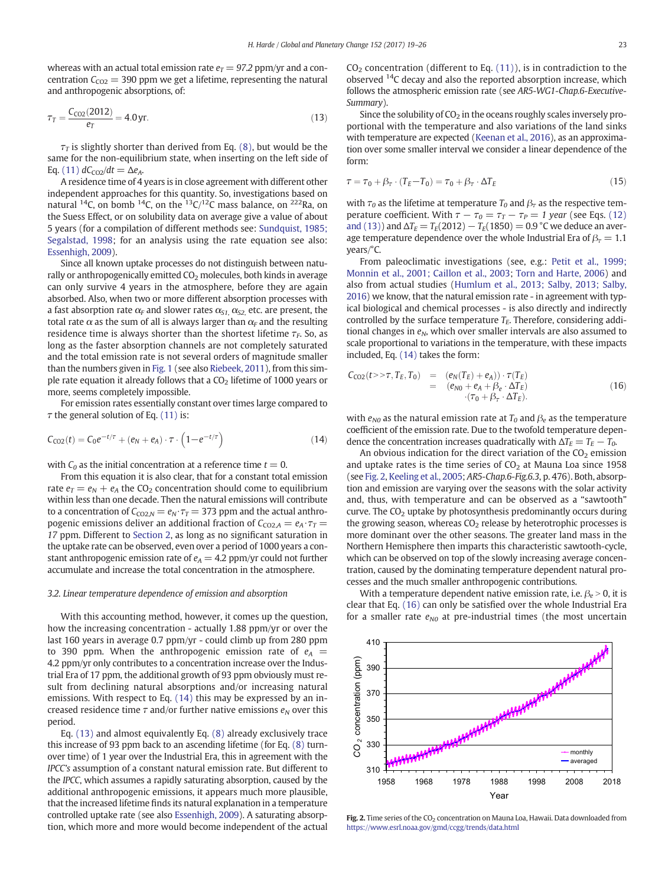<span id="page-4-0"></span>whereas with an actual total emission rate  $e_T = 97.2$  ppm/yr and a concentration  $C_{CO2}$  = 390 ppm we get a lifetime, representing the natural and anthropogenic absorptions, of:

$$
\tau_T = \frac{C_{\text{CO2}}(2012)}{e_T} = 4.0 \,\text{yr}.\tag{13}
$$

 $\tau$  is slightly shorter than derived from Eq. [\(8\),](#page-2-0) but would be the same for the non-equilibrium state, when inserting on the left side of Eq. [\(11\)](#page-3-0)  $dC_{CO2}/dt = \Delta e_A$ .

A residence time of 4 years is in close agreement with different other independent approaches for this quantity. So, investigations based on natural <sup>14</sup>C, on bomb <sup>14</sup>C, on the <sup>13</sup>C/<sup>12</sup>C mass balance, on <sup>222</sup>Ra, on the Suess Effect, or on solubility data on average give a value of about 5 years (for a compilation of different methods see: [Sundquist, 1985;](#page-7-0) [Segalstad, 1998](#page-7-0); for an analysis using the rate equation see also: [Essenhigh, 2009\)](#page-7-0).

Since all known uptake processes do not distinguish between naturally or anthropogenically emitted  $CO<sub>2</sub>$  molecules, both kinds in average can only survive 4 years in the atmosphere, before they are again absorbed. Also, when two or more different absorption processes with a fast absorption rate  $\alpha_F$  and slower rates  $\alpha_{S1}$ ,  $\alpha_{S2}$ , etc. are present, the total rate  $\alpha$  as the sum of all is always larger than  $\alpha_F$  and the resulting residence time is always shorter than the shortest lifetime  $\tau_F$ . So, as long as the faster absorption channels are not completely saturated and the total emission rate is not several orders of magnitude smaller than the numbers given in [Fig. 1](#page-1-0) (see also [Riebeek, 2011](#page-7-0)), from this simple rate equation it already follows that a  $CO<sub>2</sub>$  lifetime of 1000 years or more, seems completely impossible.

For emission rates essentially constant over times large compared to  $\tau$  the general solution of Eq. [\(11\)](#page-3-0) is:

$$
C_{CO2}(t) = C_0 e^{-t/\tau} + (e_N + e_A) \cdot \tau \cdot (1 - e^{-t/\tau})
$$
\n(14)

with  $C_0$  as the initial concentration at a reference time  $t = 0$ .

From this equation it is also clear, that for a constant total emission rate  $e_T = e_N + e_A$  the CO<sub>2</sub> concentration should come to equilibrium within less than one decade. Then the natural emissions will contribute to a concentration of  $C_{CO2,N} = e_N \cdot \tau_T = 373$  ppm and the actual anthropogenic emissions deliver an additional fraction of  $C_{CO2,A} = e_A \cdot \tau_T =$ 17 ppm. Different to [Section 2,](#page-1-0) as long as no significant saturation in the uptake rate can be observed, even over a period of 1000 years a constant anthropogenic emission rate of  $e_A = 4.2$  ppm/yr could not further accumulate and increase the total concentration in the atmosphere.

#### 3.2. Linear temperature dependence of emission and absorption

With this accounting method, however, it comes up the question, how the increasing concentration - actually 1.88 ppm/yr or over the last 160 years in average 0.7 ppm/yr - could climb up from 280 ppm to 390 ppm. When the anthropogenic emission rate of  $e_A$  = 4.2 ppm/yr only contributes to a concentration increase over the Industrial Era of 17 ppm, the additional growth of 93 ppm obviously must result from declining natural absorptions and/or increasing natural emissions. With respect to Eq. (14) this may be expressed by an increased residence time  $\tau$  and/or further native emissions  $e_N$  over this period.

Eq. (13) and almost equivalently Eq. [\(8\)](#page-2-0) already exclusively trace this increase of 93 ppm back to an ascending lifetime (for Eq. [\(8\)](#page-2-0) turnover time) of 1 year over the Industrial Era, this in agreement with the IPCC's assumption of a constant natural emission rate. But different to the IPCC, which assumes a rapidly saturating absorption, caused by the additional anthropogenic emissions, it appears much more plausible, that the increased lifetime finds its natural explanation in a temperature controlled uptake rate (see also [Essenhigh, 2009\)](#page-7-0). A saturating absorption, which more and more would become independent of the actual  $CO<sub>2</sub>$  concentration (different to Eq. [\(11\)\)](#page-3-0), is in contradiction to the observed 14C decay and also the reported absorption increase, which follows the atmospheric emission rate (see AR5-WG1-Chap.6-Executive-Summary).

Since the solubility of  $CO<sub>2</sub>$  in the oceans roughly scales inversely proportional with the temperature and also variations of the land sinks with temperature are expected [\(Keenan et al., 2016\)](#page-7-0), as an approximation over some smaller interval we consider a linear dependence of the form:

$$
\tau = \tau_0 + \beta_\tau \cdot (T_E - T_0) = \tau_0 + \beta_\tau \cdot \Delta T_E \tag{15}
$$

with  $\tau_0$  as the lifetime at temperature  $T_0$  and  $\beta_\tau$  as the respective temperature coefficient. With  $\tau - \tau_0 = \tau_T - \tau_P = 1$  year (see Eqs. [\(12\)](#page-3-0) [and \(13\)](#page-3-0)) and  $\Delta T_E = T_E(2012) - T_E(1850) = 0.9$  °C we deduce an average temperature dependence over the whole Industrial Era of  $\beta$ <sub>7</sub> = 1.1 years/°C.

From paleoclimatic investigations (see, e.g.: [Petit et al., 1999;](#page-7-0) [Monnin et al., 2001; Caillon et al., 2003](#page-7-0); [Torn and Harte, 2006\)](#page-7-0) and also from actual studies [\(Humlum et al., 2013; Salby, 2013; Salby,](#page-7-0) [2016](#page-7-0)) we know, that the natural emission rate - in agreement with typical biological and chemical processes - is also directly and indirectly controlled by the surface temperature  $T_E$ . Therefore, considering additional changes in  $e_N$ , which over smaller intervals are also assumed to scale proportional to variations in the temperature, with these impacts included, Eq. (14) takes the form:

$$
C_{CO2}(t>>\tau, T_E, T_0) = (e_N(T_E) + e_A)) \cdot \tau(T_E)
$$
  
= 
$$
(e_{N0} + e_A + \beta_e \cdot \Delta T_E)
$$
  

$$
\cdot(\tau_0 + \beta_\tau \cdot \Delta T_E).
$$
 (16)

with  $e_{N0}$  as the natural emission rate at  $T_0$  and  $\beta_e$  as the temperature coefficient of the emission rate. Due to the twofold temperature dependence the concentration increases quadratically with  $\Delta T_E = T_E - T_0$ .

An obvious indication for the direct variation of the  $CO<sub>2</sub>$  emission and uptake rates is the time series of  $CO<sub>2</sub>$  at Mauna Loa since 1958 (see Fig. 2, [Keeling et al., 2005](#page-7-0); AR5-Chap.6-Fig.6.3, p. 476). Both, absorption and emission are varying over the seasons with the solar activity and, thus, with temperature and can be observed as a "sawtooth" curve. The  $CO<sub>2</sub>$  uptake by photosynthesis predominantly occurs during the growing season, whereas  $CO<sub>2</sub>$  release by heterotrophic processes is more dominant over the other seasons. The greater land mass in the Northern Hemisphere then imparts this characteristic sawtooth-cycle, which can be observed on top of the slowly increasing average concentration, caused by the dominating temperature dependent natural processes and the much smaller anthropogenic contributions.

With a temperature dependent native emission rate, i.e.  $\beta_e > 0$ , it is clear that Eq. (16) can only be satisfied over the whole Industrial Era for a smaller rate  $e_{N0}$  at pre-industrial times (the most uncertain



Fig. 2. Time series of the  $CO_2$  concentration on Mauna Loa, Hawaii. Data downloaded from <https://www.esrl.noaa.gov/gmd/ccgg/trends/data.html>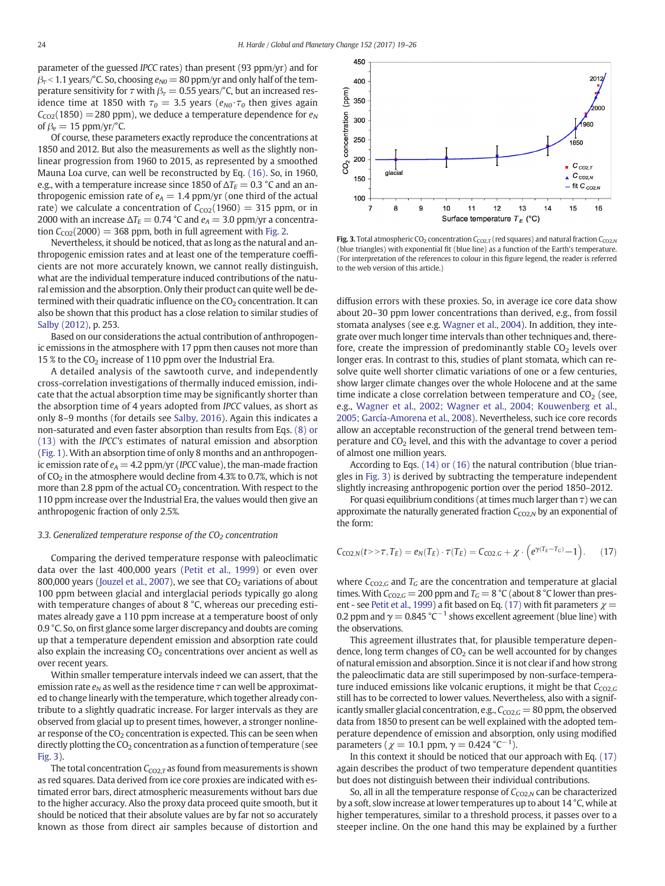<span id="page-5-0"></span>parameter of the guessed IPCC rates) than present (93 ppm/yr) and for  $\beta$ <sub>7</sub> < 1.1 years/°C. So, choosing  $e_{N0}$  = 80 ppm/yr and only half of the temperature sensitivity for  $\tau$  with  $\beta_{\tau} = 0.55$  years/°C, but an increased residence time at 1850 with  $\tau_0 = 3.5$  years ( $e_{N0} \cdot \tau_0$  then gives again  $C_{CO2}(1850) = 280$  ppm), we deduce a temperature dependence for  $e_N$ of  $\beta_e = 15$  ppm/yr/°C.

Of course, these parameters exactly reproduce the concentrations at 1850 and 2012. But also the measurements as well as the slightly nonlinear progression from 1960 to 2015, as represented by a smoothed Mauna Loa curve, can well be reconstructed by Eq. [\(16\)](#page-4-0). So, in 1960, e.g., with a temperature increase since 1850 of  $\Delta T_E = 0.3$  °C and an anthropogenic emission rate of  $e_A = 1.4$  ppm/yr (one third of the actual rate) we calculate a concentration of  $C_{CO2}(1960) = 315$  ppm, or in 2000 with an increase  $\Delta T_E = 0.74$  °C and  $e_A = 3.0$  ppm/yr a concentration  $C_{CO2}(2000) = 368$  ppm, both in full agreement with [Fig. 2.](#page-4-0)

Nevertheless, it should be noticed, that as long as the natural and anthropogenic emission rates and at least one of the temperature coefficients are not more accurately known, we cannot really distinguish, what are the individual temperature induced contributions of the natural emission and the absorption. Only their product can quite well be determined with their quadratic influence on the  $CO<sub>2</sub>$  concentration. It can also be shown that this product has a close relation to similar studies of [Salby \(2012\)](#page-7-0), p. 253.

Based on our considerations the actual contribution of anthropogenic emissions in the atmosphere with 17 ppm then causes not more than 15 % to the  $CO<sub>2</sub>$  increase of 110 ppm over the Industrial Era.

A detailed analysis of the sawtooth curve, and independently cross-correlation investigations of thermally induced emission, indicate that the actual absorption time may be significantly shorter than the absorption time of 4 years adopted from IPCC values, as short as only 8–9 months (for details see [Salby, 2016](#page-7-0)). Again this indicates a non-saturated and even faster absorption than results from Eqs. [\(8\) or](#page-2-0) [\(13\)](#page-2-0) with the IPCC's estimates of natural emission and absorption [\(Fig. 1](#page-1-0)). With an absorption time of only 8 months and an anthropogenic emission rate of  $e_A = 4.2$  ppm/yr (IPCC value), the man-made fraction of  $CO<sub>2</sub>$  in the atmosphere would decline from 4.3% to 0.7%, which is not more than 2.8 ppm of the actual  $CO<sub>2</sub>$  concentration. With respect to the 110 ppm increase over the Industrial Era, the values would then give an anthropogenic fraction of only 2.5%.

#### 3.3. Generalized temperature response of the  $CO<sub>2</sub>$  concentration

Comparing the derived temperature response with paleoclimatic data over the last 400,000 years [\(Petit et al., 1999\)](#page-7-0) or even over 800,000 years [\(Jouzel et al., 2007\)](#page-7-0), we see that  $CO<sub>2</sub>$  variations of about 100 ppm between glacial and interglacial periods typically go along with temperature changes of about 8 °C, whereas our preceding estimates already gave a 110 ppm increase at a temperature boost of only 0.9 °C. So, on first glance some larger discrepancy and doubts are coming up that a temperature dependent emission and absorption rate could also explain the increasing  $CO<sub>2</sub>$  concentrations over ancient as well as over recent years.

Within smaller temperature intervals indeed we can assert, that the emission rate  $e_N$  as well as the residence time  $\tau$  can well be approximated to change linearly with the temperature, which together already contribute to a slightly quadratic increase. For larger intervals as they are observed from glacial up to present times, however, a stronger nonlinear response of the  $CO<sub>2</sub>$  concentration is expected. This can be seen when directly plotting the  $CO<sub>2</sub>$  concentration as a function of temperature (see Fig. 3).

The total concentration  $C_{CO2,T}$  as found from measurements is shown as red squares. Data derived from ice core proxies are indicated with estimated error bars, direct atmospheric measurements without bars due to the higher accuracy. Also the proxy data proceed quite smooth, but it should be noticed that their absolute values are by far not so accurately known as those from direct air samples because of distortion and



Fig. 3. Total atmospheric CO<sub>2</sub> concentration  $C_{CO2,T}$  (red squares) and natural fraction  $C_{CO2,N}$ (blue triangles) with exponential fit (blue line) as a function of the Earth's temperature. (For interpretation of the references to colour in this figure legend, the reader is referred to the web version of this article.)

diffusion errors with these proxies. So, in average ice core data show about 20–30 ppm lower concentrations than derived, e.g., from fossil stomata analyses (see e.g. [Wagner et al., 2004\)](#page-7-0). In addition, they integrate over much longer time intervals than other techniques and, therefore, create the impression of predominantly stable  $CO<sub>2</sub>$  levels over longer eras. In contrast to this, studies of plant stomata, which can resolve quite well shorter climatic variations of one or a few centuries, show larger climate changes over the whole Holocene and at the same time indicate a close correlation between temperature and  $CO<sub>2</sub>$  (see, e.g., [Wagner et al., 2002; Wagner et al., 2004; Kouwenberg et al.,](#page-7-0) [2005; García-Amorena et al., 2008](#page-7-0)). Nevertheless, such ice core records allow an acceptable reconstruction of the general trend between temperature and  $CO<sub>2</sub>$  level, and this with the advantage to cover a period of almost one million years.

According to Eqs. [\(14\) or \(16\)](#page-4-0) the natural contribution (blue triangles in Fig. 3) is derived by subtracting the temperature independent slightly increasing anthropogenic portion over the period 1850–2012.

For quasi equilibrium conditions (at times much larger than  $\tau$ ) we can approximate the naturally generated fraction  $C_{CO2,N}$  by an exponential of the form:

$$
C_{\text{CO2},N}(t>>\tau,T_E)=e_N(T_E)\cdot\tau(T_E)=C_{\text{CO2},G}+\chi\cdot\left(e^{\gamma(T_E-T_G)}-1\right). \tag{17}
$$

where  $C_{CO2,G}$  and  $T_G$  are the concentration and temperature at glacial times. With  $C_{CO2,G} = 200$  ppm and  $T_G = 8$  °C (about 8 °C lower than pres-ent - see [Petit et al., 1999](#page-7-0)) a fit based on Eq. (17) with fit parameters  $\chi$  = 0.2 ppm and  $\gamma = 0.845 \degree C^{-1}$  shows excellent agreement (blue line) with the observations.

This agreement illustrates that, for plausible temperature dependence, long term changes of  $CO<sub>2</sub>$  can be well accounted for by changes of natural emission and absorption. Since it is not clear if and how strong the paleoclimatic data are still superimposed by non-surface-temperature induced emissions like volcanic eruptions, it might be that  $C_{CO2,G}$ still has to be corrected to lower values. Nevertheless, also with a significantly smaller glacial concentration, e.g.,  $C_{CO2,G}$  = 80 ppm, the observed data from 1850 to present can be well explained with the adopted temperature dependence of emission and absorption, only using modified parameters ( $\chi$  = 10.1 ppm,  $\gamma$  = 0.424 °C<sup>-1</sup>).

In this context it should be noticed that our approach with Eq. (17) again describes the product of two temperature dependent quantities but does not distinguish between their individual contributions.

So, all in all the temperature response of  $C_{CO2,N}$  can be characterized by a soft, slow increase at lower temperatures up to about 14 °C, while at higher temperatures, similar to a threshold process, it passes over to a steeper incline. On the one hand this may be explained by a further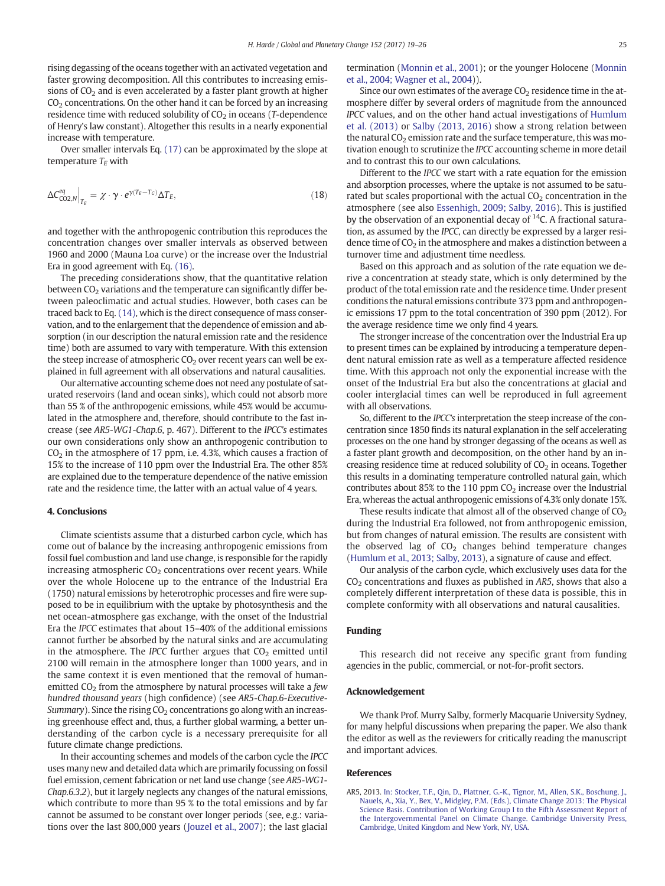<span id="page-6-0"></span>rising degassing of the oceans together with an activated vegetation and faster growing decomposition. All this contributes to increasing emissions of  $CO<sub>2</sub>$  and is even accelerated by a faster plant growth at higher  $CO<sub>2</sub>$  concentrations. On the other hand it can be forced by an increasing residence time with reduced solubility of  $CO<sub>2</sub>$  in oceans (T-dependence of Henry's law constant). Altogether this results in a nearly exponential increase with temperature.

Over smaller intervals Eq. [\(17\)](#page-5-0) can be approximated by the slope at temperature  $T_E$  with

$$
\Delta C_{\text{CO2},N}^{eq} \Big|_{T_E} = \chi \cdot \gamma \cdot e^{\gamma (T_E - T_G)} \Delta T_E, \tag{18}
$$

and together with the anthropogenic contribution this reproduces the concentration changes over smaller intervals as observed between 1960 and 2000 (Mauna Loa curve) or the increase over the Industrial Era in good agreement with Eq. [\(16\)](#page-4-0).

The preceding considerations show, that the quantitative relation between  $CO<sub>2</sub>$  variations and the temperature can significantly differ between paleoclimatic and actual studies. However, both cases can be traced back to Eq. [\(14\),](#page-4-0) which is the direct consequence of mass conservation, and to the enlargement that the dependence of emission and absorption (in our description the natural emission rate and the residence time) both are assumed to vary with temperature. With this extension the steep increase of atmospheric  $CO<sub>2</sub>$  over recent years can well be explained in full agreement with all observations and natural causalities.

Our alternative accounting scheme does not need any postulate of saturated reservoirs (land and ocean sinks), which could not absorb more than 55 % of the anthropogenic emissions, while 45% would be accumulated in the atmosphere and, therefore, should contribute to the fast increase (see AR5-WG1-Chap.6, p. 467). Different to the IPCC's estimates our own considerations only show an anthropogenic contribution to  $CO<sub>2</sub>$  in the atmosphere of 17 ppm, i.e. 4.3%, which causes a fraction of 15% to the increase of 110 ppm over the Industrial Era. The other 85% are explained due to the temperature dependence of the native emission rate and the residence time, the latter with an actual value of 4 years.

#### 4. Conclusions

Climate scientists assume that a disturbed carbon cycle, which has come out of balance by the increasing anthropogenic emissions from fossil fuel combustion and land use change, is responsible for the rapidly increasing atmospheric  $CO<sub>2</sub>$  concentrations over recent years. While over the whole Holocene up to the entrance of the Industrial Era (1750) natural emissions by heterotrophic processes and fire were supposed to be in equilibrium with the uptake by photosynthesis and the net ocean-atmosphere gas exchange, with the onset of the Industrial Era the IPCC estimates that about 15–40% of the additional emissions cannot further be absorbed by the natural sinks and are accumulating in the atmosphere. The IPCC further argues that  $CO<sub>2</sub>$  emitted until 2100 will remain in the atmosphere longer than 1000 years, and in the same context it is even mentioned that the removal of humanemitted  $CO<sub>2</sub>$  from the atmosphere by natural processes will take a few hundred thousand years (high confidence) (see AR5-Chap.6-Executive-Summary). Since the rising  $CO<sub>2</sub>$  concentrations go along with an increasing greenhouse effect and, thus, a further global warming, a better understanding of the carbon cycle is a necessary prerequisite for all future climate change predictions.

In their accounting schemes and models of the carbon cycle the IPCC uses many new and detailed data which are primarily focussing on fossil fuel emission, cement fabrication or net land use change (see AR5-WG1- Chap.6.3.2), but it largely neglects any changes of the natural emissions, which contribute to more than 95 % to the total emissions and by far cannot be assumed to be constant over longer periods (see, e.g.: variations over the last 800,000 years ([Jouzel et al., 2007](#page-7-0)); the last glacial termination [\(Monnin et al., 2001](#page-7-0)); or the younger Holocene [\(Monnin](#page-7-0) [et al., 2004; Wagner et al., 2004\)](#page-7-0)).

Since our own estimates of the average  $CO<sub>2</sub>$  residence time in the atmosphere differ by several orders of magnitude from the announced IPCC values, and on the other hand actual investigations of [Humlum](#page-7-0) [et al. \(2013\)](#page-7-0) or [Salby \(2013, 2016\)](#page-7-0) show a strong relation between the natural  $CO<sub>2</sub>$  emission rate and the surface temperature, this was motivation enough to scrutinize the IPCC accounting scheme in more detail and to contrast this to our own calculations.

Different to the IPCC we start with a rate equation for the emission and absorption processes, where the uptake is not assumed to be saturated but scales proportional with the actual  $CO<sub>2</sub>$  concentration in the atmosphere (see also [Essenhigh, 2009; Salby, 2016](#page-7-0)). This is justified by the observation of an exponential decay of <sup>14</sup>C. A fractional saturation, as assumed by the IPCC, can directly be expressed by a larger residence time of  $CO<sub>2</sub>$  in the atmosphere and makes a distinction between a turnover time and adjustment time needless.

Based on this approach and as solution of the rate equation we derive a concentration at steady state, which is only determined by the product of the total emission rate and the residence time. Under present conditions the natural emissions contribute 373 ppm and anthropogenic emissions 17 ppm to the total concentration of 390 ppm (2012). For the average residence time we only find 4 years.

The stronger increase of the concentration over the Industrial Era up to present times can be explained by introducing a temperature dependent natural emission rate as well as a temperature affected residence time. With this approach not only the exponential increase with the onset of the Industrial Era but also the concentrations at glacial and cooler interglacial times can well be reproduced in full agreement with all observations.

So, different to the IPCC's interpretation the steep increase of the concentration since 1850 finds its natural explanation in the self accelerating processes on the one hand by stronger degassing of the oceans as well as a faster plant growth and decomposition, on the other hand by an increasing residence time at reduced solubility of  $CO<sub>2</sub>$  in oceans. Together this results in a dominating temperature controlled natural gain, which contributes about 85% to the 110 ppm  $CO<sub>2</sub>$  increase over the Industrial Era, whereas the actual anthropogenic emissions of 4.3% only donate 15%.

These results indicate that almost all of the observed change of  $CO<sub>2</sub>$ during the Industrial Era followed, not from anthropogenic emission, but from changes of natural emission. The results are consistent with the observed lag of  $CO<sub>2</sub>$  changes behind temperature changes [\(Humlum et al., 2013; Salby, 2013\)](#page-7-0), a signature of cause and effect.

Our analysis of the carbon cycle, which exclusively uses data for the  $CO<sub>2</sub>$  concentrations and fluxes as published in AR5, shows that also a completely different interpretation of these data is possible, this in complete conformity with all observations and natural causalities.

#### Funding

This research did not receive any specific grant from funding agencies in the public, commercial, or not-for-profit sectors.

#### Acknowledgement

We thank Prof. Murry Salby, formerly Macquarie University Sydney, for many helpful discussions when preparing the paper. We also thank the editor as well as the reviewers for critically reading the manuscript and important advices.

#### References

AR5, 2013. [In: Stocker, T.F., Qin, D., Plattner, G.-K., Tignor, M., Allen, S.K., Boschung, J.,](http://refhub.elsevier.com/S0921-8181(16)30478-7/rf0005) [Nauels, A., Xia, Y., Bex, V., Midgley, P.M. \(Eds.\), Climate Change 2013: The Physical](http://refhub.elsevier.com/S0921-8181(16)30478-7/rf0005) [Science Basis. Contribution of Working Group I to the Fifth Assessment Report of](http://refhub.elsevier.com/S0921-8181(16)30478-7/rf0005) [the Intergovernmental Panel on Climate Change. Cambridge University Press,](http://refhub.elsevier.com/S0921-8181(16)30478-7/rf0005) [Cambridge, United Kingdom and New York, NY, USA.](http://refhub.elsevier.com/S0921-8181(16)30478-7/rf0005)